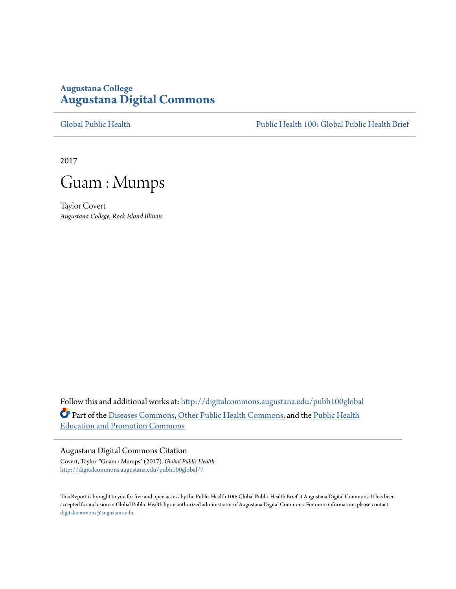# **Augustana College [Augustana Digital Commons](http://digitalcommons.augustana.edu?utm_source=digitalcommons.augustana.edu%2Fpubh100global%2F7&utm_medium=PDF&utm_campaign=PDFCoverPages)**

[Global Public Health](http://digitalcommons.augustana.edu/pubh100global?utm_source=digitalcommons.augustana.edu%2Fpubh100global%2F7&utm_medium=PDF&utm_campaign=PDFCoverPages) [Public Health 100: Global Public Health Brief](http://digitalcommons.augustana.edu/pubh100?utm_source=digitalcommons.augustana.edu%2Fpubh100global%2F7&utm_medium=PDF&utm_campaign=PDFCoverPages)

2017



Taylor Covert *Augustana College, Rock Island Illinois*

Follow this and additional works at: [http://digitalcommons.augustana.edu/pubh100global](http://digitalcommons.augustana.edu/pubh100global?utm_source=digitalcommons.augustana.edu%2Fpubh100global%2F7&utm_medium=PDF&utm_campaign=PDFCoverPages) Part of the [Diseases Commons](http://network.bepress.com/hgg/discipline/813?utm_source=digitalcommons.augustana.edu%2Fpubh100global%2F7&utm_medium=PDF&utm_campaign=PDFCoverPages), [Other Public Health Commons](http://network.bepress.com/hgg/discipline/748?utm_source=digitalcommons.augustana.edu%2Fpubh100global%2F7&utm_medium=PDF&utm_campaign=PDFCoverPages), and the [Public Health](http://network.bepress.com/hgg/discipline/743?utm_source=digitalcommons.augustana.edu%2Fpubh100global%2F7&utm_medium=PDF&utm_campaign=PDFCoverPages) [Education and Promotion Commons](http://network.bepress.com/hgg/discipline/743?utm_source=digitalcommons.augustana.edu%2Fpubh100global%2F7&utm_medium=PDF&utm_campaign=PDFCoverPages)

# Augustana Digital Commons Citation

Covert, Taylor. "Guam : Mumps" (2017). *Global Public Health.* [http://digitalcommons.augustana.edu/pubh100global/7](http://digitalcommons.augustana.edu/pubh100global/7?utm_source=digitalcommons.augustana.edu%2Fpubh100global%2F7&utm_medium=PDF&utm_campaign=PDFCoverPages)

This Report is brought to you for free and open access by the Public Health 100: Global Public Health Brief at Augustana Digital Commons. It has been accepted for inclusion in Global Public Health by an authorized administrator of Augustana Digital Commons. For more information, please contact [digitalcommons@augustana.edu.](mailto:digitalcommons@augustana.edu)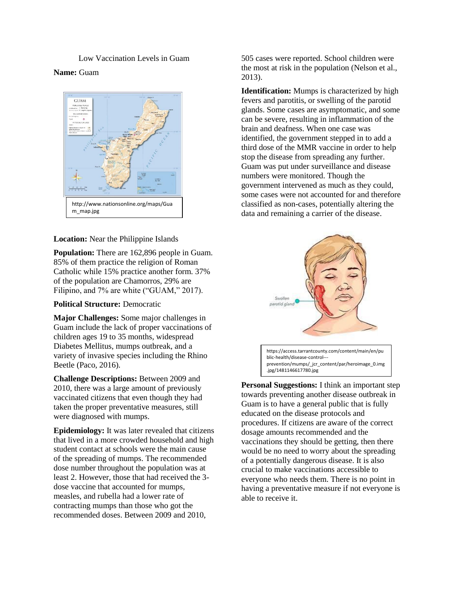# Low Vaccination Levels in Guam

# **Name:** Guam



### **Location:** Near the Philippine Islands

**Population:** There are 162,896 people in Guam. 85% of them practice the religion of Roman Catholic while 15% practice another form. 37% of the population are Chamorros, 29% are Filipino, and 7% are white ("GUAM," 2017).

#### **Political Structure:** Democratic

**Major Challenges:** Some major challenges in Guam include the lack of proper vaccinations of children ages 19 to 35 months, widespread Diabetes Mellitus, mumps outbreak, and a variety of invasive species including the Rhino Beetle (Paco, 2016).

**Challenge Descriptions:** Between 2009 and 2010, there was a large amount of previously vaccinated citizens that even though they had taken the proper preventative measures, still were diagnosed with mumps.

**Epidemiology:** It was later revealed that citizens that lived in a more crowded household and high student contact at schools were the main cause of the spreading of mumps. The recommended dose number throughout the population was at least 2. However, those that had received the 3 dose vaccine that accounted for mumps, measles, and rubella had a lower rate of contracting mumps than those who got the recommended doses. Between 2009 and 2010,

505 cases were reported. School children were the most at risk in the population (Nelson et al., 2013).

**Identification:** Mumps is characterized by high fevers and parotitis, or swelling of the parotid glands. Some cases are asymptomatic, and some can be severe, resulting in inflammation of the brain and deafness. When one case was identified, the government stepped in to add a third dose of the MMR vaccine in order to help stop the disease from spreading any further. Guam was put under surveillance and disease numbers were monitored. Though the government intervened as much as they could, some cases were not accounted for and therefore classified as non-cases, potentially altering the data and remaining a carrier of the disease.



**Personal Suggestions:** I think an important step towards preventing another disease outbreak in Guam is to have a general public that is fully educated on the disease protocols and procedures. If citizens are aware of the correct dosage amounts recommended and the vaccinations they should be getting, then there would be no need to worry about the spreading of a potentially dangerous disease. It is also crucial to make vaccinations accessible to everyone who needs them. There is no point in having a preventative measure if not everyone is able to receive it.